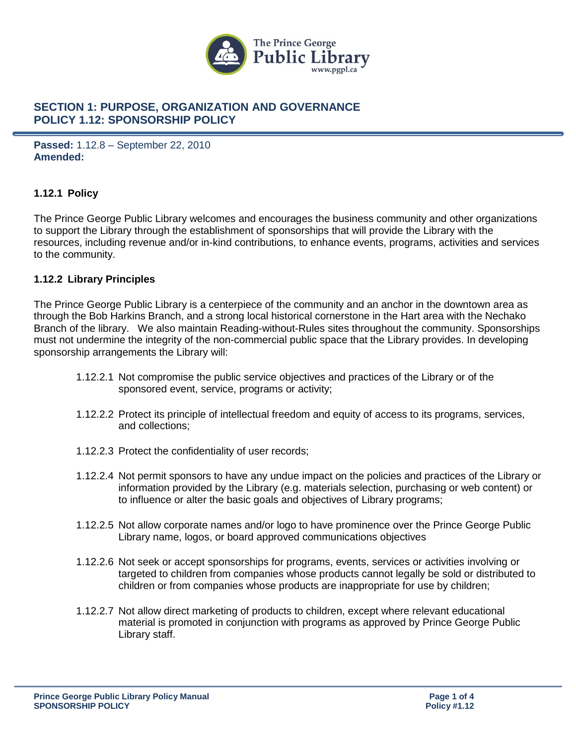

**Passed:** 1.12.8 – September 22, 2010 **Amended:**

### **1.12.1 Policy**

The Prince George Public Library welcomes and encourages the business community and other organizations to support the Library through the establishment of sponsorships that will provide the Library with the resources, including revenue and/or in-kind contributions, to enhance events, programs, activities and services to the community.

### **1.12.2 Library Principles**

The Prince George Public Library is a centerpiece of the community and an anchor in the downtown area as through the Bob Harkins Branch, and a strong local historical cornerstone in the Hart area with the Nechako Branch of the library. We also maintain Reading-without-Rules sites throughout the community. Sponsorships must not undermine the integrity of the non-commercial public space that the Library provides. In developing sponsorship arrangements the Library will:

- 1.12.2.1 Not compromise the public service objectives and practices of the Library or of the sponsored event, service, programs or activity;
- 1.12.2.2 Protect its principle of intellectual freedom and equity of access to its programs, services, and collections;
- 1.12.2.3 Protect the confidentiality of user records;
- 1.12.2.4 Not permit sponsors to have any undue impact on the policies and practices of the Library or information provided by the Library (e.g. materials selection, purchasing or web content) or to influence or alter the basic goals and objectives of Library programs;
- 1.12.2.5 Not allow corporate names and/or logo to have prominence over the Prince George Public Library name, logos, or board approved communications objectives
- 1.12.2.6 Not seek or accept sponsorships for programs, events, services or activities involving or targeted to children from companies whose products cannot legally be sold or distributed to children or from companies whose products are inappropriate for use by children;
- 1.12.2.7 Not allow direct marketing of products to children, except where relevant educational material is promoted in conjunction with programs as approved by Prince George Public Library staff.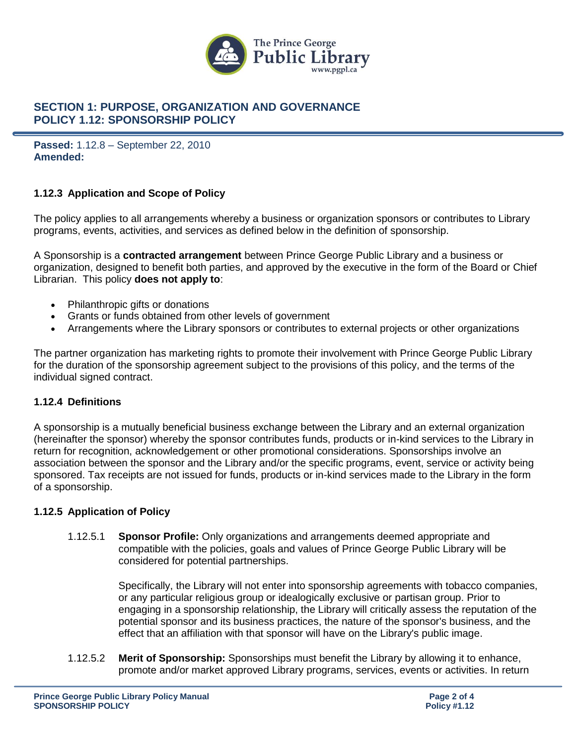

**Passed:** 1.12.8 – September 22, 2010 **Amended:**

### **1.12.3 Application and Scope of Policy**

The policy applies to all arrangements whereby a business or organization sponsors or contributes to Library programs, events, activities, and services as defined below in the definition of sponsorship.

A Sponsorship is a **contracted arrangement** between Prince George Public Library and a business or organization, designed to benefit both parties, and approved by the executive in the form of the Board or Chief Librarian. This policy **does not apply to**:

- Philanthropic gifts or donations
- Grants or funds obtained from other levels of government
- Arrangements where the Library sponsors or contributes to external projects or other organizations

The partner organization has marketing rights to promote their involvement with Prince George Public Library for the duration of the sponsorship agreement subject to the provisions of this policy, and the terms of the individual signed contract.

### **1.12.4 Definitions**

A sponsorship is a mutually beneficial business exchange between the Library and an external organization (hereinafter the sponsor) whereby the sponsor contributes funds, products or in-kind services to the Library in return for recognition, acknowledgement or other promotional considerations. Sponsorships involve an association between the sponsor and the Library and/or the specific programs, event, service or activity being sponsored. Tax receipts are not issued for funds, products or in-kind services made to the Library in the form of a sponsorship.

### **1.12.5 Application of Policy**

1.12.5.1 **Sponsor Profile:** Only organizations and arrangements deemed appropriate and compatible with the policies, goals and values of Prince George Public Library will be considered for potential partnerships.

> Specifically, the Library will not enter into sponsorship agreements with tobacco companies, or any particular religious group or idealogically exclusive or partisan group. Prior to engaging in a sponsorship relationship, the Library will critically assess the reputation of the potential sponsor and its business practices, the nature of the sponsor's business, and the effect that an affiliation with that sponsor will have on the Library's public image.

1.12.5.2 **Merit of Sponsorship:** Sponsorships must benefit the Library by allowing it to enhance, promote and/or market approved Library programs, services, events or activities. In return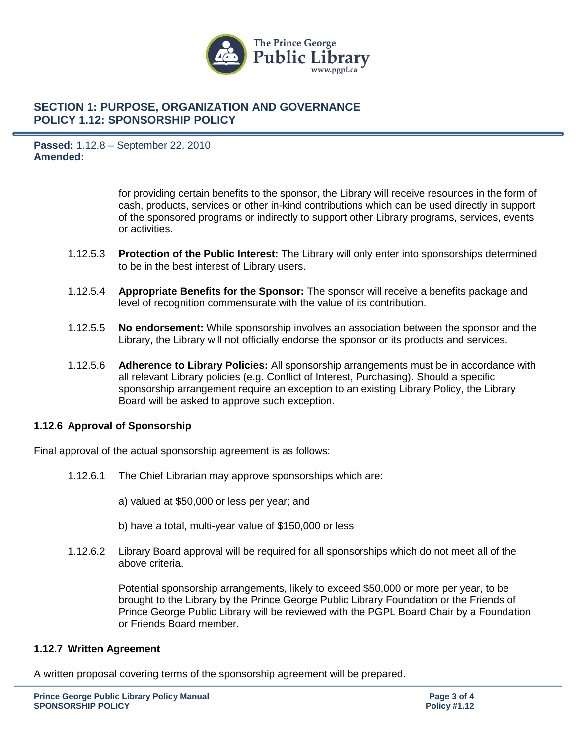

**Passed:** 1.12.8 – September 22, 2010 **Amended:**

> for providing certain benefits to the sponsor, the Library will receive resources in the form of cash, products, services or other in-kind contributions which can be used directly in support of the sponsored programs or indirectly to support other Library programs, services, events or activities.

- 1.12.5.3 **Protection of the Public Interest:** The Library will only enter into sponsorships determined to be in the best interest of Library users.
- 1.12.5.4 **Appropriate Benefits for the Sponsor:** The sponsor will receive a benefits package and level of recognition commensurate with the value of its contribution.
- 1.12.5.5 **No endorsement:** While sponsorship involves an association between the sponsor and the Library, the Library will not officially endorse the sponsor or its products and services.
- 1.12.5.6 **Adherence to Library Policies:** All sponsorship arrangements must be in accordance with all relevant Library policies (e.g. Conflict of Interest, Purchasing). Should a specific sponsorship arrangement require an exception to an existing Library Policy, the Library Board will be asked to approve such exception.

### **1.12.6 Approval of Sponsorship**

Final approval of the actual sponsorship agreement is as follows:

1.12.6.1 The Chief Librarian may approve sponsorships which are:

a) valued at \$50,000 or less per year; and

b) have a total, multi-year value of \$150,000 or less

1.12.6.2 Library Board approval will be required for all sponsorships which do not meet all of the above criteria.

> Potential sponsorship arrangements, likely to exceed \$50,000 or more per year, to be brought to the Library by the Prince George Public Library Foundation or the Friends of Prince George Public Library will be reviewed with the PGPL Board Chair by a Foundation or Friends Board member.

#### **1.12.7 Written Agreement**

A written proposal covering terms of the sponsorship agreement will be prepared.